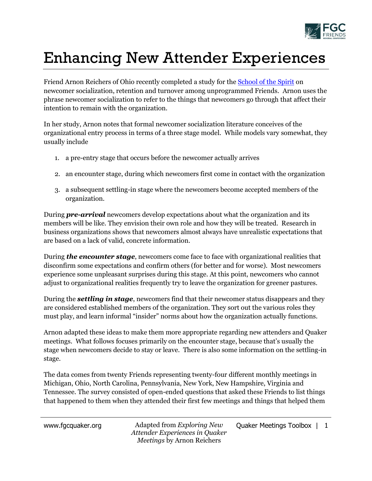

## Enhancing New Attender Experiences

Friend Arnon Reichers of Ohio recently completed a study for th[e School of the Spirit](http://schoolofthespirit.org/) on newcomer socialization, retention and turnover among unprogrammed Friends. Arnon uses the phrase newcomer socialization to refer to the things that newcomers go through that affect their intention to remain with the organization.

In her study, Arnon notes that formal newcomer socialization literature conceives of the organizational entry process in terms of a three stage model. While models vary somewhat, they usually include

- 1. a pre-entry stage that occurs before the newcomer actually arrives
- 2. an encounter stage, during which newcomers first come in contact with the organization
- 3. a subsequent settling-in stage where the newcomers become accepted members of the organization.

During *pre-arrival* newcomers develop expectations about what the organization and its members will be like. They envision their own role and how they will be treated. Research in business organizations shows that newcomers almost always have unrealistic expectations that are based on a lack of valid, concrete information.

During *the encounter stage*, newcomers come face to face with organizational realities that disconfirm some expectations and confirm others (for better and for worse). Most newcomers experience some unpleasant surprises during this stage. At this point, newcomers who cannot adjust to organizational realities frequently try to leave the organization for greener pastures.

During the *settling in stage*, newcomers find that their newcomer status disappears and they are considered established members of the organization. They sort out the various roles they must play, and learn informal "insider" norms about how the organization actually functions.

Arnon adapted these ideas to make them more appropriate regarding new attenders and Quaker meetings. What follows focuses primarily on the encounter stage, because that's usually the stage when newcomers decide to stay or leave. There is also some information on the settling-in stage.

The data comes from twenty Friends representing twenty-four different monthly meetings in Michigan, Ohio, North Carolina, Pennsylvania, New York, New Hampshire, Virginia and Tennessee. The survey consisted of open-ended questions that asked these Friends to list things that happened to them when they attended their first few meetings and things that helped them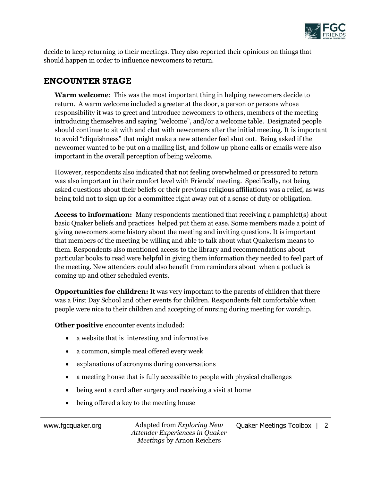

decide to keep returning to their meetings. They also reported their opinions on things that should happen in order to influence newcomers to return.

## **ENCOUNTER STAGE**

**Warm welcome**: This was the most important thing in helping newcomers decide to return. A warm welcome included a greeter at the door, a person or persons whose responsibility it was to greet and introduce newcomers to others, members of the meeting introducing themselves and saying "welcome", and/or a welcome table. Designated people should continue to sit with and chat with newcomers after the initial meeting. It is important to avoid "cliquishness" that might make a new attender feel shut out. Being asked if the newcomer wanted to be put on a mailing list, and follow up phone calls or emails were also important in the overall perception of being welcome.

However, respondents also indicated that not feeling overwhelmed or pressured to return was also important in their comfort level with Friends' meeting. Specifically, not being asked questions about their beliefs or their previous religious affiliations was a relief, as was being told not to sign up for a committee right away out of a sense of duty or obligation.

**Access to information:** Many respondents mentioned that receiving a pamphlet(s) about basic Quaker beliefs and practices helped put them at ease. Some members made a point of giving newcomers some history about the meeting and inviting questions. It is important that members of the meeting be willing and able to talk about what Quakerism means to them. Respondents also mentioned access to the library and recommendations about particular books to read were helpful in giving them information they needed to feel part of the meeting. New attenders could also benefit from reminders about when a potluck is coming up and other scheduled events.

**Opportunities for children:** It was very important to the parents of children that there was a First Day School and other events for children. Respondents felt comfortable when people were nice to their children and accepting of nursing during meeting for worship.

**Other positive** encounter events included:

- a website that is interesting and informative
- a common, simple meal offered every week
- explanations of acronyms during conversations
- a meeting house that is fully accessible to people with physical challenges
- being sent a card after surgery and receiving a visit at home
- being offered a key to the meeting house